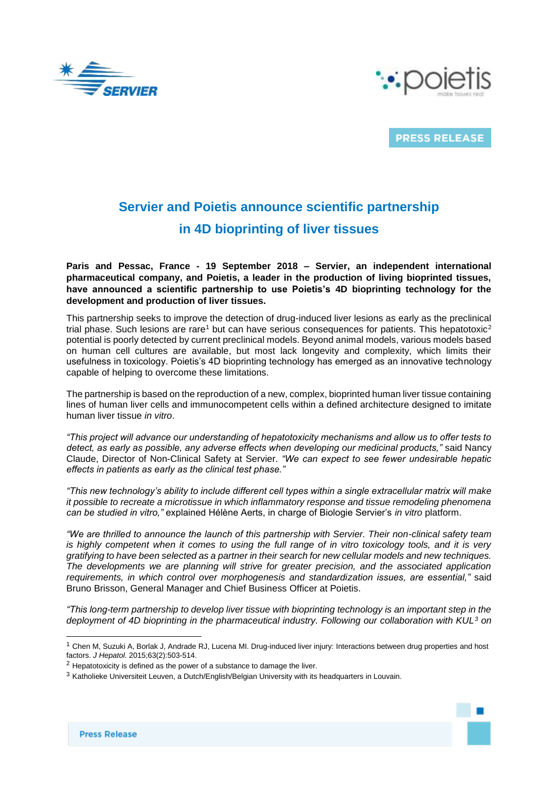



**PRESS RELEASE** 

# **Servier and Poietis announce scientific partnership in 4D bioprinting of liver tissues**

**Paris and Pessac, France - 19 September 2018 – Servier, an independent international pharmaceutical company, and Poietis, a leader in the production of living bioprinted tissues, have announced a scientific partnership to use Poietis's 4D bioprinting technology for the development and production of liver tissues.**

This partnership seeks to improve the detection of drug-induced liver lesions as early as the preclinical trial phase. Such lesions are rare<sup>1</sup> but can have serious consequences for patients. This hepatotoxic<sup>2</sup> potential is poorly detected by current preclinical models. Beyond animal models, various models based on human cell cultures are available, but most lack longevity and complexity, which limits their usefulness in toxicology. Poietis's 4D bioprinting technology has emerged as an innovative technology capable of helping to overcome these limitations.

The partnership is based on the reproduction of a new, complex, bioprinted human liver tissue containing lines of human liver cells and immunocompetent cells within a defined architecture designed to imitate human liver tissue *in vitro*.

*"This project will advance our understanding of hepatotoxicity mechanisms and allow us to offer tests to detect, as early as possible, any adverse effects when developing our medicinal products,"* said Nancy Claude, Director of Non-Clinical Safety at Servier. *"We can expect to see fewer undesirable hepatic effects in patients as early as the clinical test phase."*

*"This new technology's ability to include different cell types within a single extracellular matrix will make it possible to recreate a microtissue in which inflammatory response and tissue remodeling phenomena can be studied in vitro,"* explained Hélène Aerts, in charge of Biologie Servier's *in vitro* platform.

*"We are thrilled to announce the launch of this partnership with Servier. Their non-clinical safety team is highly competent when it comes to using the full range of in vitro toxicology tools, and it is very gratifying to have been selected as a partner in their search for new cellular models and new techniques. The developments we are planning will strive for greater precision, and the associated application requirements, in which control over morphogenesis and standardization issues, are essential,"* said Bruno Brisson, General Manager and Chief Business Officer at Poietis.

*"This long-term partnership to develop liver tissue with bioprinting technology is an important step in the deployment of 4D bioprinting in the pharmaceutical industry. Following our collaboration with KUL<sup>3</sup> on*

l

<sup>1</sup> Chen M, Suzuki A, Borlak J, Andrade RJ, Lucena MI. Drug-induced liver injury: Interactions between drug properties and host factors. *J Hepatol*. 2015;63(2):503-514.

 $2$  Hepatotoxicity is defined as the power of a substance to damage the liver.

<sup>3</sup> Katholieke Universiteit Leuven, a Dutch/English/Belgian University with its headquarters in Louvain.